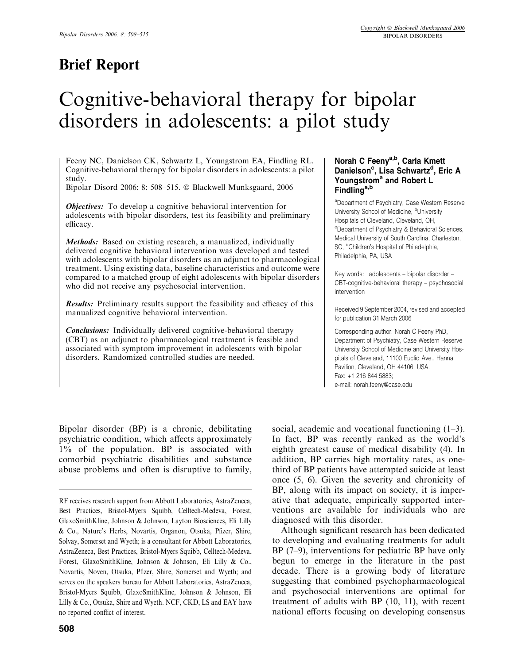# Cognitive-behavioral therapy for bipolar disorders in adolescents: a pilot study

Feeny NC, Danielson CK, Schwartz L, Youngstrom EA, Findling RL. Cognitive-behavioral therapy for bipolar disorders in adolescents: a pilot study.

Bipolar Disord 2006: 8: 508-515. © Blackwell Munksgaard, 2006

**Objectives:** To develop a cognitive behavioral intervention for adolescents with bipolar disorders, test its feasibility and preliminary efficacy.

Methods: Based on existing research, a manualized, individually delivered cognitive behavioral intervention was developed and tested with adolescents with bipolar disorders as an adjunct to pharmacological treatment. Using existing data, baseline characteristics and outcome were compared to a matched group of eight adolescents with bipolar disorders who did not receive any psychosocial intervention.

Results: Preliminary results support the feasibility and efficacy of this manualized cognitive behavioral intervention.

**Conclusions:** Individually delivered cognitive-behavioral therapy (CBT) as an adjunct to pharmacological treatment is feasible and associated with symptom improvement in adolescents with bipolar disorders. Randomized controlled studies are needed.

## Norah C Feeny<sup>a,b</sup>, Carla Kmett Danielson<sup>c</sup>, Lisa Schwartz<sup>d</sup>, Eric A Youngstrom<sup>a</sup> and Robert L Findling<sup>a,b</sup>

aDepartment of Psychiatry, Case Western Reserve University School of Medicine, <sup>b</sup>University Hospitals of Cleveland, Cleveland, OH, c Department of Psychiatry & Behavioral Sciences, Medical University of South Carolina, Charleston, SC, <sup>d</sup>Children's Hospital of Philadelphia, Philadelphia, PA, USA

Key words: adolescents – bipolar disorder – CBT-cognitive-behavioral therapy – psychosocial intervention

Received 9 September 2004, revised and accepted for publication 31 March 2006

Corresponding author: Norah C Feeny PhD, Department of Psychiatry, Case Western Reserve University School of Medicine and University Hospitals of Cleveland, 11100 Euclid Ave., Hanna Pavilion, Cleveland, OH 44106, USA. Fax: +1 216 844 5883; e-mail: norah.feeny@case.edu

Bipolar disorder (BP) is a chronic, debilitating psychiatric condition, which affects approximately 1% of the population. BP is associated with comorbid psychiatric disabilities and substance abuse problems and often is disruptive to family, social, academic and vocational functioning (1–3). In fact, BP was recently ranked as the world's eighth greatest cause of medical disability (4). In addition, BP carries high mortality rates, as onethird of BP patients have attempted suicide at least once (5, 6). Given the severity and chronicity of BP, along with its impact on society, it is imperative that adequate, empirically supported interventions are available for individuals who are diagnosed with this disorder.

Although significant research has been dedicated to developing and evaluating treatments for adult BP (7–9), interventions for pediatric BP have only begun to emerge in the literature in the past decade. There is a growing body of literature suggesting that combined psychopharmacological and psychosocial interventions are optimal for treatment of adults with BP (10, 11), with recent national efforts focusing on developing consensus

RF receives research support from Abbott Laboratories, AstraZeneca, Best Practices, Bristol-Myers Squibb, Celltech-Medeva, Forest, GlaxoSmithKline, Johnson & Johnson, Layton Biosciences, Eli Lilly & Co., Nature's Herbs, Novartis, Organon, Otsuka, Pfizer, Shire, Solvay, Somerset and Wyeth; is a consultant for Abbott Laboratories, AstraZeneca, Best Practices, Bristol-Myers Squibb, Celltech-Medeva, Forest, GlaxoSmithKline, Johnson & Johnson, Eli Lilly & Co., Novartis, Noven, Otsuka, Pfizer, Shire, Somerset and Wyeth; and serves on the speakers bureau for Abbott Laboratories, AstraZeneca, Bristol-Myers Squibb, GlaxoSmithKline, Johnson & Johnson, Eli Lilly & Co., Otsuka, Shire and Wyeth. NCF, CKD, LS and EAY have no reported conflict of interest.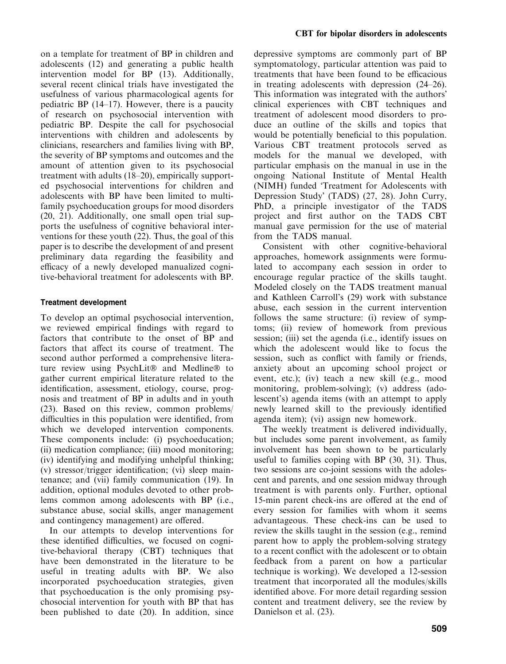on a template for treatment of BP in children and adolescents (12) and generating a public health intervention model for BP (13). Additionally, several recent clinical trials have investigated the usefulness of various pharmacological agents for pediatric BP (14–17). However, there is a paucity of research on psychosocial intervention with pediatric BP. Despite the call for psychosocial interventions with children and adolescents by clinicians, researchers and families living with BP, the severity of BP symptoms and outcomes and the amount of attention given to its psychosocial treatment with adults (18–20), empirically supported psychosocial interventions for children and adolescents with BP have been limited to multifamily psychoeducation groups for mood disorders (20, 21). Additionally, one small open trial supports the usefulness of cognitive behavioral interventions for these youth (22). Thus, the goal of this paper is to describe the development of and present preliminary data regarding the feasibility and efficacy of a newly developed manualized cognitive-behavioral treatment for adolescents with BP.

# Treatment development

To develop an optimal psychosocial intervention, we reviewed empirical findings with regard to factors that contribute to the onset of BP and factors that affect its course of treatment. The second author performed a comprehensive literature review using PsychLit® and Medline® to gather current empirical literature related to the identification, assessment, etiology, course, prognosis and treatment of BP in adults and in youth (23). Based on this review, common problems/ difficulties in this population were identified, from which we developed intervention components. These components include: (i) psychoeducation; (ii) medication compliance; (iii) mood monitoring; (iv) identifying and modifying unhelpful thinking; (v) stressor/trigger identification; (vi) sleep maintenance; and (vii) family communication (19). In addition, optional modules devoted to other problems common among adolescents with BP (i.e., substance abuse, social skills, anger management and contingency management) are offered.

In our attempts to develop interventions for these identified difficulties, we focused on cognitive-behavioral therapy (CBT) techniques that have been demonstrated in the literature to be useful in treating adults with BP. We also incorporated psychoeducation strategies, given that psychoeducation is the only promising psychosocial intervention for youth with BP that has been published to date (20). In addition, since depressive symptoms are commonly part of BP symptomatology, particular attention was paid to treatments that have been found to be efficacious in treating adolescents with depression (24–26). This information was integrated with the authors' clinical experiences with CBT techniques and treatment of adolescent mood disorders to produce an outline of the skills and topics that would be potentially beneficial to this population. Various CBT treatment protocols served as models for the manual we developed, with particular emphasis on the manual in use in the ongoing National Institute of Mental Health (NIMH) funded Treatment for Adolescents with Depression Study' (TADS) (27, 28). John Curry, PhD, a principle investigator of the TADS project and first author on the TADS CBT manual gave permission for the use of material from the TADS manual.

Consistent with other cognitive-behavioral approaches, homework assignments were formulated to accompany each session in order to encourage regular practice of the skills taught. Modeled closely on the TADS treatment manual and Kathleen Carroll's (29) work with substance abuse, each session in the current intervention follows the same structure: (i) review of symptoms; (ii) review of homework from previous session; (iii) set the agenda (i.e., identify issues on which the adolescent would like to focus the session, such as conflict with family or friends, anxiety about an upcoming school project or event, etc.); (iv) teach a new skill (e.g., mood monitoring, problem-solving); (v) address (adolescent's) agenda items (with an attempt to apply newly learned skill to the previously identified agenda item); (vi) assign new homework.

The weekly treatment is delivered individually, but includes some parent involvement, as family involvement has been shown to be particularly useful to families coping with BP (30, 31). Thus, two sessions are co-joint sessions with the adolescent and parents, and one session midway through treatment is with parents only. Further, optional 15-min parent check-ins are offered at the end of every session for families with whom it seems advantageous. These check-ins can be used to review the skills taught in the session (e.g., remind parent how to apply the problem-solving strategy to a recent conflict with the adolescent or to obtain feedback from a parent on how a particular technique is working). We developed a 12-session treatment that incorporated all the modules/skills identified above. For more detail regarding session content and treatment delivery, see the review by Danielson et al. (23).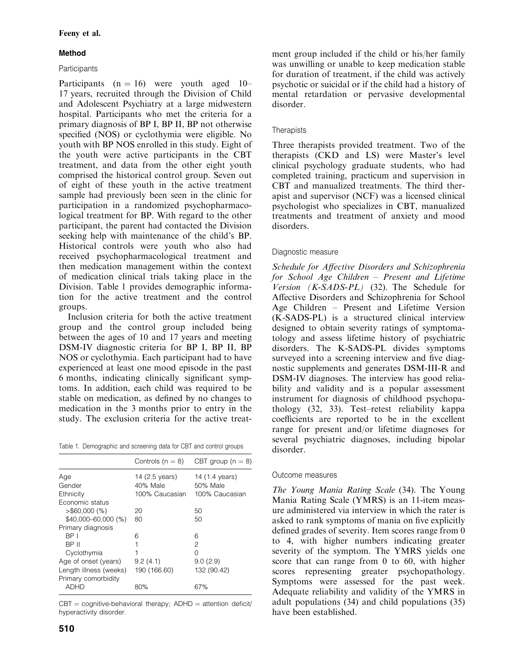# Method

## **Participants**

Participants ( $n = 16$ ) were youth aged 10– 17 years, recruited through the Division of Child and Adolescent Psychiatry at a large midwestern hospital. Participants who met the criteria for a primary diagnosis of BP I, BP II, BP not otherwise specified (NOS) or cyclothymia were eligible. No youth with BP NOS enrolled in this study. Eight of the youth were active participants in the CBT treatment, and data from the other eight youth comprised the historical control group. Seven out of eight of these youth in the active treatment sample had previously been seen in the clinic for participation in a randomized psychopharmacological treatment for BP. With regard to the other participant, the parent had contacted the Division seeking help with maintenance of the child's BP. Historical controls were youth who also had received psychopharmacological treatment and then medication management within the context of medication clinical trials taking place in the Division. Table 1 provides demographic information for the active treatment and the control groups.

Inclusion criteria for both the active treatment group and the control group included being between the ages of 10 and 17 years and meeting DSM-IV diagnostic criteria for BP I, BP II, BP NOS or cyclothymia. Each participant had to have experienced at least one mood episode in the past 6 months, indicating clinically significant symptoms. In addition, each child was required to be stable on medication, as defined by no changes to medication in the 3 months prior to entry in the study. The exclusion criteria for the active treat-

Table 1. Demographic and screening data for CBT and control groups

|                                               | Controls $(n = 8)$ | CBT group ( $n = 8$ ) |  |  |
|-----------------------------------------------|--------------------|-----------------------|--|--|
| Age                                           | 14 (2.5 years)     | 14 (1.4 years)        |  |  |
| Gender                                        | 40% Male           | 50% Male              |  |  |
| Ethnicity                                     | 100% Caucasian     | 100% Caucasian        |  |  |
| Economic status                               |                    |                       |  |  |
| $>$ \$60,000 $(%)$                            | 20                 | 50                    |  |  |
| $$40,000 - 60,000$ (%)                        | 80                 | 50                    |  |  |
| Primary diagnosis                             |                    |                       |  |  |
| BP I                                          | 6                  | 6                     |  |  |
| <b>BP II</b>                                  |                    | 2                     |  |  |
| Cyclothymia                                   |                    | ∩                     |  |  |
| Age of onset (years)                          | 9.2(4.1)           | 9.0(2.9)              |  |  |
| Length illness (weeks)<br>Primary comorbidity | 190 (166.60)       | 132 (90.42)           |  |  |
| ADHD                                          | 80%                | 67%                   |  |  |

 $CBT =$  cognitive-behavioral therapy;  $ADHD =$  attention deficit/ hyperactivity disorder.

# **Therapists**

Three therapists provided treatment. Two of the therapists (CKD and LS) were Master's level clinical psychology graduate students, who had completed training, practicum and supervision in CBT and manualized treatments. The third therapist and supervisor (NCF) was a licensed clinical psychologist who specializes in CBT, manualized treatments and treatment of anxiety and mood disorders.

# Diagnostic measure

Schedule for Affective Disorders and Schizophrenia for School Age Children – Present and Lifetime Version  $(K-SADS-PL)$  (32). The Schedule for Affective Disorders and Schizophrenia for School Age Children – Present and Lifetime Version (K-SADS-PL) is a structured clinical interview designed to obtain severity ratings of symptomatology and assess lifetime history of psychiatric disorders. The K-SADS-PL divides symptoms surveyed into a screening interview and five diagnostic supplements and generates DSM-III-R and DSM-IV diagnoses. The interview has good reliability and validity and is a popular assessment instrument for diagnosis of childhood psychopathology (32, 33). Test–retest reliability kappa coefficients are reported to be in the excellent range for present and/or lifetime diagnoses for several psychiatric diagnoses, including bipolar disorder.

# Outcome measures

The Young Mania Rating Scale (34). The Young Mania Rating Scale (YMRS) is an 11-item measure administered via interview in which the rater is asked to rank symptoms of mania on five explicitly defined grades of severity. Item scores range from 0 to 4, with higher numbers indicating greater severity of the symptom. The YMRS yields one score that can range from 0 to 60, with higher scores representing greater psychopathology. Symptoms were assessed for the past week. Adequate reliability and validity of the YMRS in adult populations (34) and child populations (35) have been established.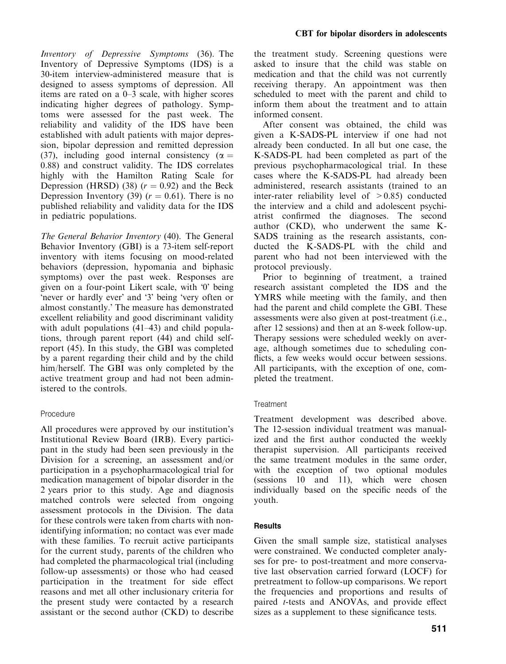Inventory of Depressive Symptoms (36). The Inventory of Depressive Symptoms (IDS) is a 30-item interview-administered measure that is designed to assess symptoms of depression. All items are rated on a 0–3 scale, with higher scores indicating higher degrees of pathology. Symptoms were assessed for the past week. The reliability and validity of the IDS have been established with adult patients with major depression, bipolar depression and remitted depression (37), including good internal consistency ( $\alpha =$ 0.88) and construct validity. The IDS correlates highly with the Hamilton Rating Scale for Depression (HRSD) (38)  $(r = 0.92)$  and the Beck Depression Inventory (39)  $(r = 0.61)$ . There is no published reliability and validity data for the IDS in pediatric populations.

The General Behavior Inventory (40). The General Behavior Inventory (GBI) is a 73-item self-report inventory with items focusing on mood-related behaviors (depression, hypomania and biphasic symptoms) over the past week. Responses are given on a four-point Likert scale, with '0' being 'never or hardly ever' and '3' being 'very often or almost constantly.' The measure has demonstrated excellent reliability and good discriminant validity with adult populations (41–43) and child populations, through parent report (44) and child selfreport (45). In this study, the GBI was completed by a parent regarding their child and by the child him/herself. The GBI was only completed by the active treatment group and had not been administered to the controls.

# Procedure

All procedures were approved by our institution's Institutional Review Board (IRB). Every participant in the study had been seen previously in the Division for a screening, an assessment and/or participation in a psychopharmacological trial for medication management of bipolar disorder in the 2 years prior to this study. Age and diagnosis matched controls were selected from ongoing assessment protocols in the Division. The data for these controls were taken from charts with nonidentifying information; no contact was ever made with these families. To recruit active participants for the current study, parents of the children who had completed the pharmacological trial (including follow-up assessments) or those who had ceased participation in the treatment for side effect reasons and met all other inclusionary criteria for the present study were contacted by a research assistant or the second author (CKD) to describe the treatment study. Screening questions were asked to insure that the child was stable on medication and that the child was not currently receiving therapy. An appointment was then scheduled to meet with the parent and child to inform them about the treatment and to attain informed consent.

After consent was obtained, the child was given a K-SADS-PL interview if one had not already been conducted. In all but one case, the K-SADS-PL had been completed as part of the previous psychopharmacological trial. In these cases where the K-SADS-PL had already been administered, research assistants (trained to an inter-rater reliability level of  $> 0.85$ ) conducted the interview and a child and adolescent psychiatrist confirmed the diagnoses. The second author (CKD), who underwent the same K-SADS training as the research assistants, conducted the K-SADS-PL with the child and parent who had not been interviewed with the protocol previously.

Prior to beginning of treatment, a trained research assistant completed the IDS and the YMRS while meeting with the family, and then had the parent and child complete the GBI. These assessments were also given at post-treatment (i.e., after 12 sessions) and then at an 8-week follow-up. Therapy sessions were scheduled weekly on average, although sometimes due to scheduling conflicts, a few weeks would occur between sessions. All participants, with the exception of one, completed the treatment.

# **Treatment**

Treatment development was described above. The 12-session individual treatment was manualized and the first author conducted the weekly therapist supervision. All participants received the same treatment modules in the same order, with the exception of two optional modules (sessions 10 and 11), which were chosen individually based on the specific needs of the youth.

# **Results**

Given the small sample size, statistical analyses were constrained. We conducted completer analyses for pre- to post-treatment and more conservative last observation carried forward (LOCF) for pretreatment to follow-up comparisons. We report the frequencies and proportions and results of paired t-tests and ANOVAs, and provide effect sizes as a supplement to these significance tests.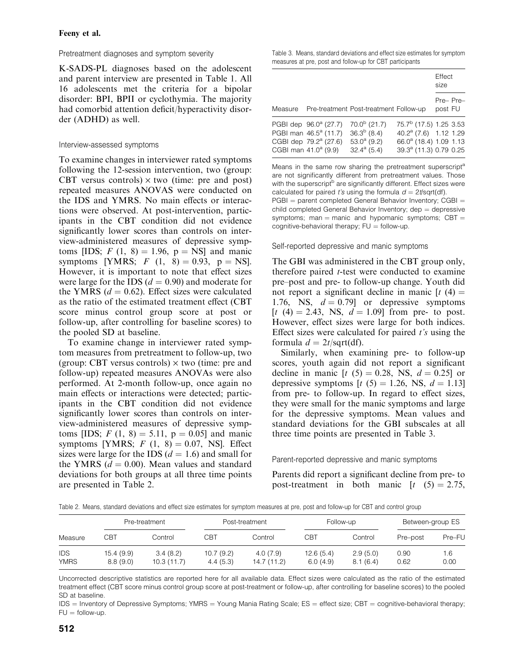#### Pretreatment diagnoses and symptom severity

K-SADS-PL diagnoses based on the adolescent and parent interview are presented in Table 1. All 16 adolescents met the criteria for a bipolar disorder: BPI, BPII or cyclothymia. The majority had comorbid attention deficit/hyperactivity disorder (ADHD) as well.

#### Interview-assessed symptoms

To examine changes in interviewer rated symptoms following the 12-session intervention, two (group: CBT versus controls)  $\times$  two (time: pre and post) repeated measures ANOVAS were conducted on the IDS and YMRS. No main effects or interactions were observed. At post-intervention, participants in the CBT condition did not evidence significantly lower scores than controls on interview-administered measures of depressive symptoms [IDS;  $F(1, 8) = 1.96$ ,  $p = NS$ ] and manic symptoms [YMRS;  $F(1, 8) = 0.93$ ,  $p = NS$ ]. However, it is important to note that effect sizes were large for the IDS ( $d = 0.90$ ) and moderate for the YMRS ( $d = 0.62$ ). Effect sizes were calculated as the ratio of the estimated treatment effect (CBT score minus control group score at post or follow-up, after controlling for baseline scores) to the pooled SD at baseline.

To examine change in interviewer rated symptom measures from pretreatment to follow-up, two (group: CBT versus controls)  $\times$  two (time: pre and follow-up) repeated measures ANOVAs were also performed. At 2-month follow-up, once again no main effects or interactions were detected; participants in the CBT condition did not evidence significantly lower scores than controls on interview-administered measures of depressive symptoms [IDS;  $F(1, 8) = 5.11$ ,  $p = 0.05$ ] and manic symptoms [YMRS;  $F(1, 8) = 0.07$ , NS]. Effect sizes were large for the IDS ( $d = 1.6$ ) and small for the YMRS ( $d = 0.00$ ). Mean values and standard deviations for both groups at all three time points are presented in Table 2.

Table 3. Means, standard deviations and effect size estimates for symptom measures at pre, post and follow-up for CBT participants

|         |                                                                                                                                                 |                                                                         |                                                                                                                                                   | Effect<br>size      |  |  |
|---------|-------------------------------------------------------------------------------------------------------------------------------------------------|-------------------------------------------------------------------------|---------------------------------------------------------------------------------------------------------------------------------------------------|---------------------|--|--|
| Measure |                                                                                                                                                 | Pre-treatment Post-treatment Follow-up                                  |                                                                                                                                                   | Pre-Pre-<br>post FU |  |  |
|         | PGBI dep 96.0 <sup>a</sup> (27.7)<br>PGBI man 46.5 <sup>a</sup> (11.7)<br>CGBI dep 79.2 <sup>a</sup> (27.6)<br>CGBI man 41.0 <sup>a</sup> (9.9) | $70.0b$ (21.7)<br>$36.3^b$ (8.4)<br>53.0 $^{a}$ (9.2)<br>$32.4^a$ (5.4) | 75.7 <sup>b</sup> (17.5) 1.25 3.53<br>40.2 $^{\circ}$ (7.6) 1.12 1.29<br>66.0 <sup>a</sup> (18.4) 1.09 1.13<br>39.3 <sup>a</sup> (11.3) 0.79 0.25 |                     |  |  |

Means in the same row sharing the pretreatment superscript<sup>a</sup> are not significantly different from pretreatment values. Those with the superscript<sup>b</sup> are significantly different. Effect sizes were calculated for paired t's using the formula  $d = 2t/\sqrt{gt}$ .

 $PGBI = parent completed General Behavior Inventory; CGBI =$ child completed General Behavior Inventory; dep = depressive symptoms; man = manic and hypomanic symptoms;  $CBT =$ cognitive-behavioral therapy;  $FU =$  follow-up.

#### Self-reported depressive and manic symptoms

The GBI was administered in the CBT group only, therefore paired *t*-test were conducted to examine pre–post and pre- to follow-up change. Youth did not report a significant decline in manic  $[t (4) =$ 1.76, NS,  $d = 0.79$  or depressive symptoms  $[t (4) = 2.43, NS, d = 1.09]$  from pre- to post. However, effect sizes were large for both indices. Effect sizes were calculated for paired  $t$ 's using the formula  $d = 2t/\sqrt{sqrt{df}}$ .

Similarly, when examining pre- to follow-up scores, youth again did not report a significant decline in manic  $[t (5) = 0.28, NS, d = 0.25]$  or depressive symptoms  $[t (5) = 1.26, NS, d = 1.13]$ from pre- to follow-up. In regard to effect sizes, they were small for the manic symptoms and large for the depressive symptoms. Mean values and standard deviations for the GBI subscales at all three time points are presented in Table 3.

#### Parent-reported depressive and manic symptoms

Parents did report a significant decline from pre- to post-treatment in both manic  $[t (5) = 2.75]$ ,

| Table 2. Means, standard deviations and effect size estimates for symptom measures at pre, post and follow-up for CBT and control group |  |  |
|-----------------------------------------------------------------------------------------------------------------------------------------|--|--|
|-----------------------------------------------------------------------------------------------------------------------------------------|--|--|

| Measure                   | Pre-treatment          |                        | Post-treatment        |                         | Follow-up             |                      | Between-group ES |             |
|---------------------------|------------------------|------------------------|-----------------------|-------------------------|-----------------------|----------------------|------------------|-------------|
|                           | CBT                    | Control                | CBT                   | Control                 | <b>CBT</b>            | Control              | Pre-post         | Pre-FU      |
| <b>IDS</b><br><b>YMRS</b> | 15.4 (9.9)<br>8.8(9.0) | 3.4(8.2)<br>10.3(11.7) | 10.7(9.2)<br>4.4(5.3) | 4.0(7.9)<br>14.7 (11.2) | 12.6(5.4)<br>6.0(4.9) | 2.9(5.0)<br>8.1(6.4) | 0.90<br>0.62     | 1.6<br>0.00 |

Uncorrected descriptive statistics are reported here for all available data. Effect sizes were calculated as the ratio of the estimated treatment effect (CBT score minus control group score at post-treatment or follow-up, after controlling for baseline scores) to the pooled SD at baseline.

 $IDS =$  Inventory of Depressive Symptoms; YMRS = Young Mania Rating Scale;  $ES =$  effect size; CBT = cognitive-behavioral therapy;  $FU =$  follow-up.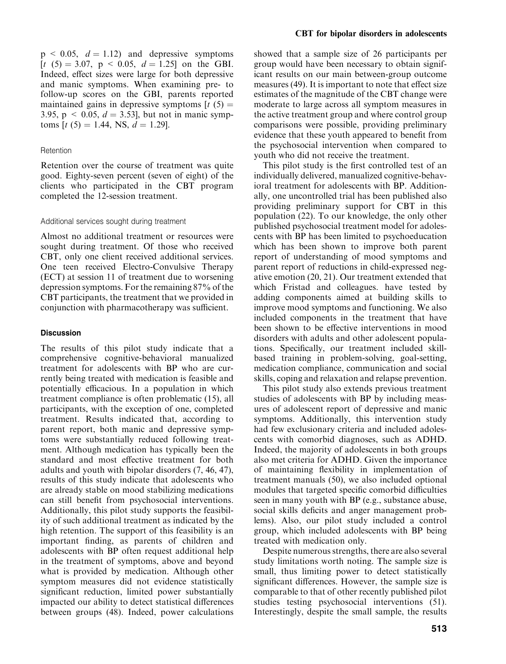$p \le 0.05$ ,  $d = 1.12$ ) and depressive symptoms [t (5) = 3.07, p < 0.05,  $d = 1.25$ ] on the GBI. Indeed, effect sizes were large for both depressive and manic symptoms. When examining pre- to follow-up scores on the GBI, parents reported maintained gains in depressive symptoms  $[t (5) =$ 3.95, p < 0.05,  $d = 3.53$ , but not in manic symptoms  $[t (5) = 1.44, NS, d = 1.29]$ .

#### Retention

Retention over the course of treatment was quite good. Eighty-seven percent (seven of eight) of the clients who participated in the CBT program completed the 12-session treatment.

#### Additional services sought during treatment

Almost no additional treatment or resources were sought during treatment. Of those who received CBT, only one client received additional services. One teen received Electro-Convulsive Therapy (ECT) at session 11 of treatment due to worsening depression symptoms. For the remaining 87% of the CBT participants, the treatment that we provided in conjunction with pharmacotherapy was sufficient.

#### **Discussion**

The results of this pilot study indicate that a comprehensive cognitive-behavioral manualized treatment for adolescents with BP who are currently being treated with medication is feasible and potentially efficacious. In a population in which treatment compliance is often problematic (15), all participants, with the exception of one, completed treatment. Results indicated that, according to parent report, both manic and depressive symptoms were substantially reduced following treatment. Although medication has typically been the standard and most effective treatment for both adults and youth with bipolar disorders (7, 46, 47), results of this study indicate that adolescents who are already stable on mood stabilizing medications can still benefit from psychosocial interventions. Additionally, this pilot study supports the feasibility of such additional treatment as indicated by the high retention. The support of this feasibility is an important finding, as parents of children and adolescents with BP often request additional help in the treatment of symptoms, above and beyond what is provided by medication. Although other symptom measures did not evidence statistically significant reduction, limited power substantially impacted our ability to detect statistical differences between groups (48). Indeed, power calculations showed that a sample size of 26 participants per group would have been necessary to obtain significant results on our main between-group outcome measures (49). It is important to note that effect size estimates of the magnitude of the CBT change were moderate to large across all symptom measures in the active treatment group and where control group comparisons were possible, providing preliminary evidence that these youth appeared to benefit from the psychosocial intervention when compared to youth who did not receive the treatment.

This pilot study is the first controlled test of an individually delivered, manualized cognitive-behavioral treatment for adolescents with BP. Additionally, one uncontrolled trial has been published also providing preliminary support for CBT in this population (22). To our knowledge, the only other published psychosocial treatment model for adolescents with BP has been limited to psychoeducation which has been shown to improve both parent report of understanding of mood symptoms and parent report of reductions in child-expressed negative emotion (20, 21). Our treatment extended that which Fristad and colleagues. have tested by adding components aimed at building skills to improve mood symptoms and functioning. We also included components in the treatment that have been shown to be effective interventions in mood disorders with adults and other adolescent populations. Specifically, our treatment included skillbased training in problem-solving, goal-setting, medication compliance, communication and social skills, coping and relaxation and relapse prevention.

This pilot study also extends previous treatment studies of adolescents with BP by including measures of adolescent report of depressive and manic symptoms. Additionally, this intervention study had few exclusionary criteria and included adolescents with comorbid diagnoses, such as ADHD. Indeed, the majority of adolescents in both groups also met criteria for ADHD. Given the importance of maintaining flexibility in implementation of treatment manuals (50), we also included optional modules that targeted specific comorbid difficulties seen in many youth with BP (e.g., substance abuse, social skills deficits and anger management problems). Also, our pilot study included a control group, which included adolescents with BP being treated with medication only.

Despite numerous strengths, there are also several study limitations worth noting. The sample size is small, thus limiting power to detect statistically significant differences. However, the sample size is comparable to that of other recently published pilot studies testing psychosocial interventions (51). Interestingly, despite the small sample, the results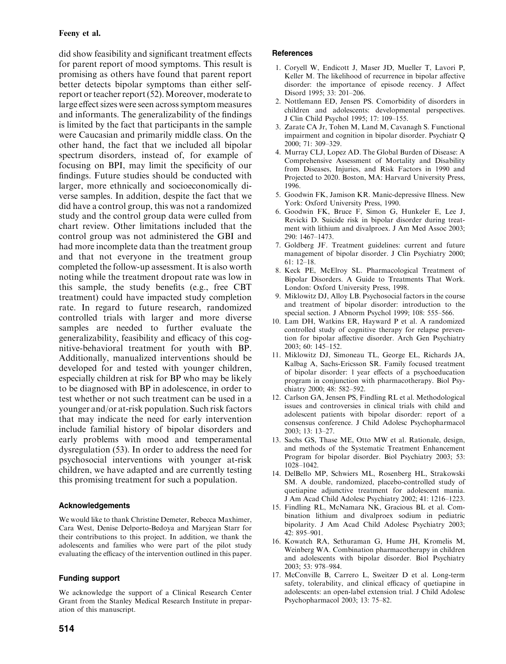did show feasibility and significant treatment effects for parent report of mood symptoms. This result is promising as others have found that parent report better detects bipolar symptoms than either selfreport or teacher report (52). Moreover, moderate to large effect sizes were seen across symptom measures and informants. The generalizability of the findings is limited by the fact that participants in the sample were Caucasian and primarily middle class. On the other hand, the fact that we included all bipolar spectrum disorders, instead of, for example of focusing on BPI, may limit the specificity of our findings. Future studies should be conducted with larger, more ethnically and socioeconomically diverse samples. In addition, despite the fact that we did have a control group, this was not a randomized study and the control group data were culled from chart review. Other limitations included that the control group was not administered the GBI and had more incomplete data than the treatment group and that not everyone in the treatment group completed the follow-up assessment. It is also worth noting while the treatment dropout rate was low in this sample, the study benefits (e.g., free CBT treatment) could have impacted study completion rate. In regard to future research, randomized controlled trials with larger and more diverse samples are needed to further evaluate the generalizability, feasibility and efficacy of this cognitive-behavioral treatment for youth with BP. Additionally, manualized interventions should be developed for and tested with younger children, especially children at risk for BP who may be likely to be diagnosed with BP in adolescence, in order to test whether or not such treatment can be used in a younger and/or at-risk population. Such risk factors that may indicate the need for early intervention include familial history of bipolar disorders and early problems with mood and temperamental dysregulation (53). In order to address the need for psychosocial interventions with younger at-risk children, we have adapted and are currently testing this promising treatment for such a population.

### Acknowledgements

We would like to thank Christine Demeter, Rebecca Maxhimer, Cara West, Denise Delporto-Bedoya and Maryjean Starr for their contributions to this project. In addition, we thank the adolescents and families who were part of the pilot study evaluating the efficacy of the intervention outlined in this paper.

#### Funding support

We acknowledge the support of a Clinical Research Center Grant from the Stanley Medical Research Institute in preparation of this manuscript.

#### **References**

- 1. Coryell W, Endicott J, Maser JD, Mueller T, Lavori P, Keller M. The likelihood of recurrence in bipolar affective disorder: the importance of episode recency. J Affect Disord 1995; 33: 201–206.
- 2. Nottlemann ED, Jensen PS. Comorbidity of disorders in children and adolescents: developmental perspectives. J Clin Child Psychol 1995; 17: 109–155.
- 3. Zarate CA Jr, Tohen M, Land M, Cavanagh S. Functional impairment and cognition in bipolar disorder. Psychiatr Q 2000; 71: 309–329.
- 4. Murray CLJ, Lopez AD. The Global Burden of Disease: A Comprehensive Assessment of Mortality and Disability from Diseases, Injuries, and Risk Factors in 1990 and Projected to 2020. Boston, MA: Harvard University Press, 1996.
- 5. Goodwin FK, Jamison KR. Manic-depressive Illness. New York: Oxford University Press, 1990.
- 6. Goodwin FK, Bruce F, Simon G, Hunkeler E, Lee J, Revicki D. Suicide risk in bipolar disorder during treatment with lithium and divalproex. J Am Med Assoc 2003; 290: 1467–1473.
- 7. Goldberg JF. Treatment guidelines: current and future management of bipolar disorder. J Clin Psychiatry 2000; 61: 12–18.
- 8. Keck PE, McElroy SL. Pharmacological Treatment of Bipolar Disorders. A Guide to Treatments That Work. London: Oxford University Press, 1998.
- 9. Miklowitz DJ, Alloy LB. Psychosocial factors in the course and treatment of bipolar disorder: introduction to the special section. J Abnorm Psychol 1999; 108: 555–566.
- 10. Lam DH, Watkins ER, Hayward P et al. A randomized controlled study of cognitive therapy for relapse prevention for bipolar affective disorder. Arch Gen Psychiatry 2003; 60: 145–152.
- 11. Miklowitz DJ, Simoneau TL, George EL, Richards JA, Kalbag A, Sachs-Ericsson SR. Family focused treatment of bipolar disorder: 1 year effects of a psychoeducation program in conjunction with pharmacotherapy. Biol Psychiatry 2000; 48: 582–592.
- 12. Carlson GA, Jensen PS, Findling RL et al. Methodological issues and controversies in clinical trials with child and adolescent patients with bipolar disorder: report of a consensus conference. J Child Adolesc Psychopharmacol 2003; 13: 13–27.
- 13. Sachs GS, Thase ME, Otto MW et al. Rationale, design, and methods of the Systematic Treatment Enhancement Program for bipolar disorder. Biol Psychiatry 2003; 53: 1028–1042.
- 14. DelBello MP, Schwiers ML, Rosenberg HL, Strakowski SM. A double, randomized, placebo-controlled study of quetiapine adjunctive treatment for adolescent mania. J Am Acad Child Adolesc Psychiatry 2002; 41: 1216–1223.
- 15. Findling RL, McNamara NK, Gracious BL et al. Combination lithium and divalproex sodium in pediatric bipolarity. J Am Acad Child Adolesc Psychiatry 2003; 42: 895–901.
- 16. Kowatch RA, Sethuraman G, Hume JH, Kromelis M, Weinberg WA. Combination pharmacotherapy in children and adolescents with bipolar disorder. Biol Psychiatry 2003; 53: 978–984.
- 17. McConville B, Carrero L, Sweitzer D et al. Long-term safety, tolerability, and clinical efficacy of quetiapine in adolescents: an open-label extension trial. J Child Adolesc Psychopharmacol 2003; 13: 75–82.